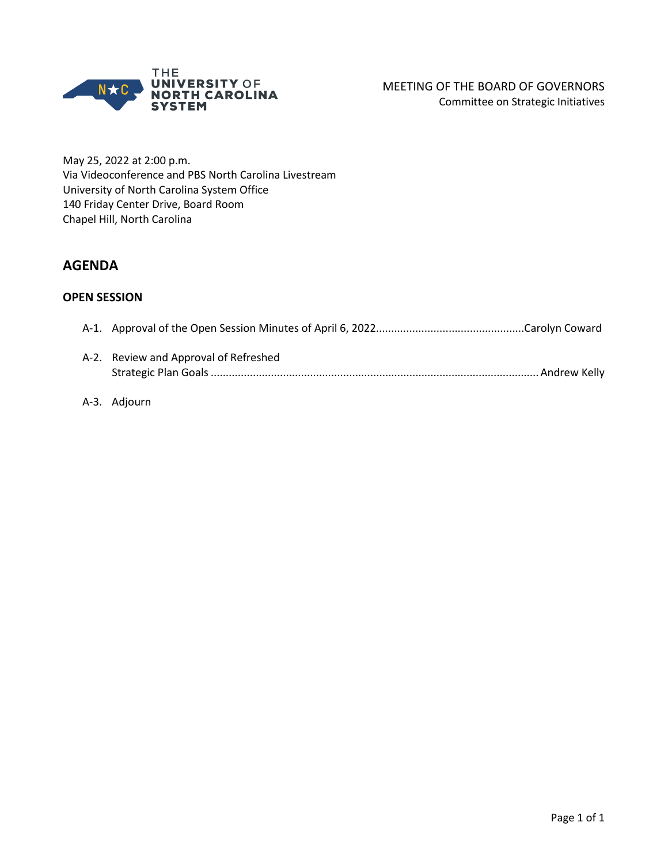

May 25, 2022 at 2:00 p.m. Via Videoconference and PBS North Carolina Livestream University of North Carolina System Office 140 Friday Center Drive, Board Room Chapel Hill, North Carolina

# **AGENDA**

### **OPEN SESSION**

| A-2. Review and Approval of Refreshed |  |
|---------------------------------------|--|
|                                       |  |

### A-3. Adjourn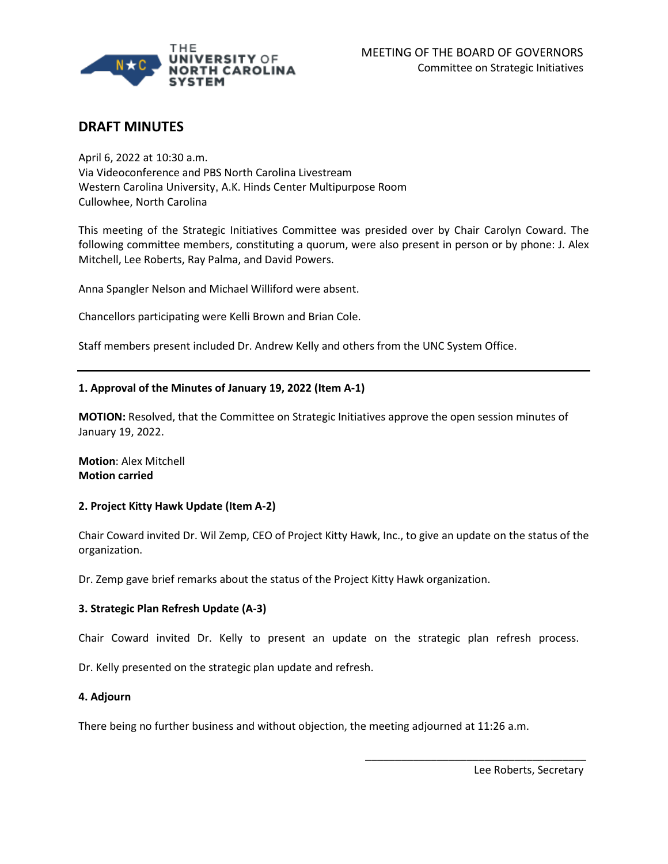

# **DRAFT MINUTES**

April 6, 2022 at 10:30 a.m.  Via Videoconference and PBS North Carolina Livestream Western Carolina University, A.K. Hinds Center Multipurpose Room Cullowhee, North Carolina 

This meeting of the Strategic Initiatives Committee was presided over by Chair Carolyn Coward. The following committee members, constituting a quorum, were also present in person or by phone: J. Alex Mitchell, Lee Roberts, Ray Palma, and David Powers.

Anna Spangler Nelson and Michael Williford were absent.

Chancellors participating were Kelli Brown and Brian Cole.

Staff members present included Dr. Andrew Kelly and others from the UNC System Office.

#### **1. Approval of the Minutes of January 19, 2022 (Item A-1)**

**MOTION:** Resolved, that the Committee on Strategic Initiatives approve the open session minutes of January 19, 2022.

**Motion**: Alex Mitchell **Motion carried**

#### **2. Project Kitty Hawk Update (Item A-2)**

Chair Coward invited Dr. Wil Zemp, CEO of Project Kitty Hawk, Inc., to give an update on the status of the organization.

Dr. Zemp gave brief remarks about the status of the Project Kitty Hawk organization.

#### **3. Strategic Plan Refresh Update (A-3)**

Chair Coward invited Dr. Kelly to present an update on the strategic plan refresh process.

Dr. Kelly presented on the strategic plan update and refresh.

#### **4. Adjourn**

There being no further business and without objection, the meeting adjourned at 11:26 a.m.

Lee Roberts, Secretary

\_\_\_\_\_\_\_\_\_\_\_\_\_\_\_\_\_\_\_\_\_\_\_\_\_\_\_\_\_\_\_\_\_\_\_\_\_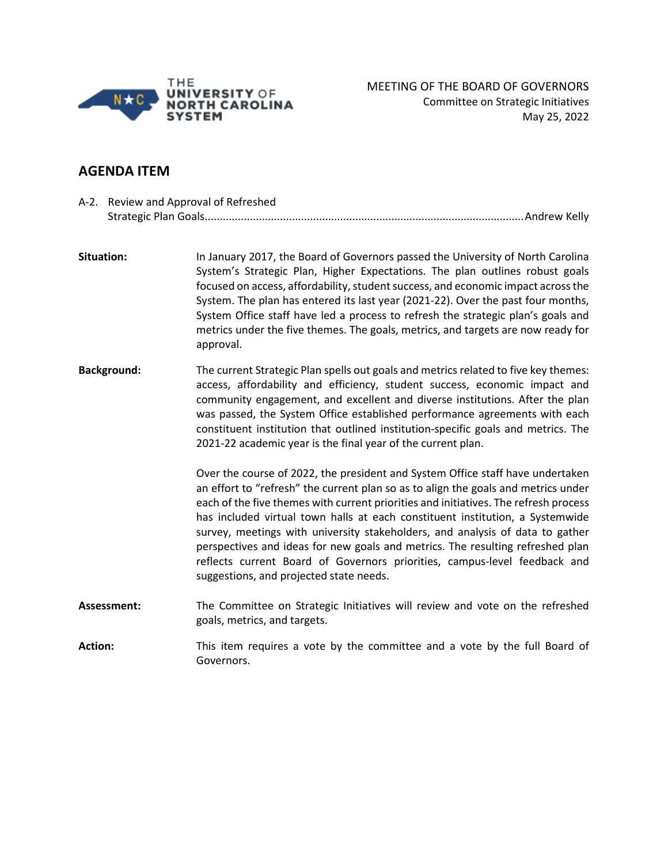

# **AGENDA ITEM**

|                | A-2. Review and Approval of Refreshed |                                                                                                                                                                                                                                                                                                                                                                                                                                                                                                                                                                                                                                          |
|----------------|---------------------------------------|------------------------------------------------------------------------------------------------------------------------------------------------------------------------------------------------------------------------------------------------------------------------------------------------------------------------------------------------------------------------------------------------------------------------------------------------------------------------------------------------------------------------------------------------------------------------------------------------------------------------------------------|
|                | Situation:                            | In January 2017, the Board of Governors passed the University of North Carolina<br>System's Strategic Plan, Higher Expectations. The plan outlines robust goals<br>focused on access, affordability, student success, and economic impact across the<br>System. The plan has entered its last year (2021-22). Over the past four months,<br>System Office staff have led a process to refresh the strategic plan's goals and<br>metrics under the five themes. The goals, metrics, and targets are now ready for<br>approval.                                                                                                            |
|                | <b>Background:</b>                    | The current Strategic Plan spells out goals and metrics related to five key themes:<br>access, affordability and efficiency, student success, economic impact and<br>community engagement, and excellent and diverse institutions. After the plan<br>was passed, the System Office established performance agreements with each<br>constituent institution that outlined institution-specific goals and metrics. The<br>2021-22 academic year is the final year of the current plan.                                                                                                                                                     |
|                |                                       | Over the course of 2022, the president and System Office staff have undertaken<br>an effort to "refresh" the current plan so as to align the goals and metrics under<br>each of the five themes with current priorities and initiatives. The refresh process<br>has included virtual town halls at each constituent institution, a Systemwide<br>survey, meetings with university stakeholders, and analysis of data to gather<br>perspectives and ideas for new goals and metrics. The resulting refreshed plan<br>reflects current Board of Governors priorities, campus-level feedback and<br>suggestions, and projected state needs. |
|                | Assessment:                           | The Committee on Strategic Initiatives will review and vote on the refreshed<br>goals, metrics, and targets.                                                                                                                                                                                                                                                                                                                                                                                                                                                                                                                             |
| <b>Action:</b> |                                       | This item requires a vote by the committee and a vote by the full Board of                                                                                                                                                                                                                                                                                                                                                                                                                                                                                                                                                               |

Governors.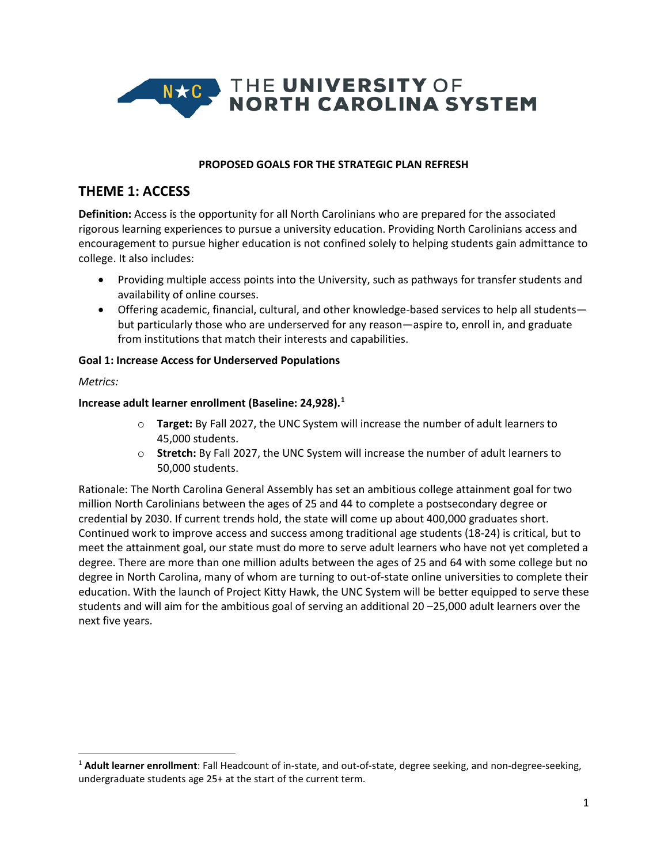

#### **PROPOSED GOALS FOR THE STRATEGIC PLAN REFRESH**

# **THEME 1: ACCESS**

**Definition:** Access is the opportunity for all North Carolinians who are prepared for the associated rigorous learning experiences to pursue a university education. Providing North Carolinians access and encouragement to pursue higher education is not confined solely to helping students gain admittance to college. It also includes:

- Providing multiple access points into the University, such as pathways for transfer students and availability of online courses.
- Offering academic, financial, cultural, and other knowledge-based services to help all students but particularly those who are underserved for any reason—aspire to, enroll in, and graduate from institutions that match their interests and capabilities.

#### **Goal 1: Increase Access for Underserved Populations**

*Metrics:*

#### **Increase adult learner enrollment (Baseline: 24,928). [1](#page-3-0)**

- o **Target:** By Fall 2027, the UNC System will increase the number of adult learners to 45,000 students.
- o **Stretch:** By Fall 2027, the UNC System will increase the number of adult learners to 50,000 students.

Rationale: The North Carolina General Assembly has set an ambitious college attainment goal for two million North Carolinians between the ages of 25 and 44 to complete a postsecondary degree or credential by 2030. If current trends hold, the state will come up about 400,000 graduates short. Continued work to improve access and success among traditional age students (18-24) is critical, but to meet the attainment goal, our state must do more to serve adult learners who have not yet completed a degree. There are more than one million adults between the ages of 25 and 64 with some college but no degree in North Carolina, many of whom are turning to out-of-state online universities to complete their education. With the launch of Project Kitty Hawk, the UNC System will be better equipped to serve these students and will aim for the ambitious goal of serving an additional 20 –25,000 adult learners over the next five years.

<span id="page-3-0"></span><sup>1</sup> **Adult learner enrollment**: Fall Headcount of in-state, and out-of-state, degree seeking, and non-degree-seeking, undergraduate students age 25+ at the start of the current term.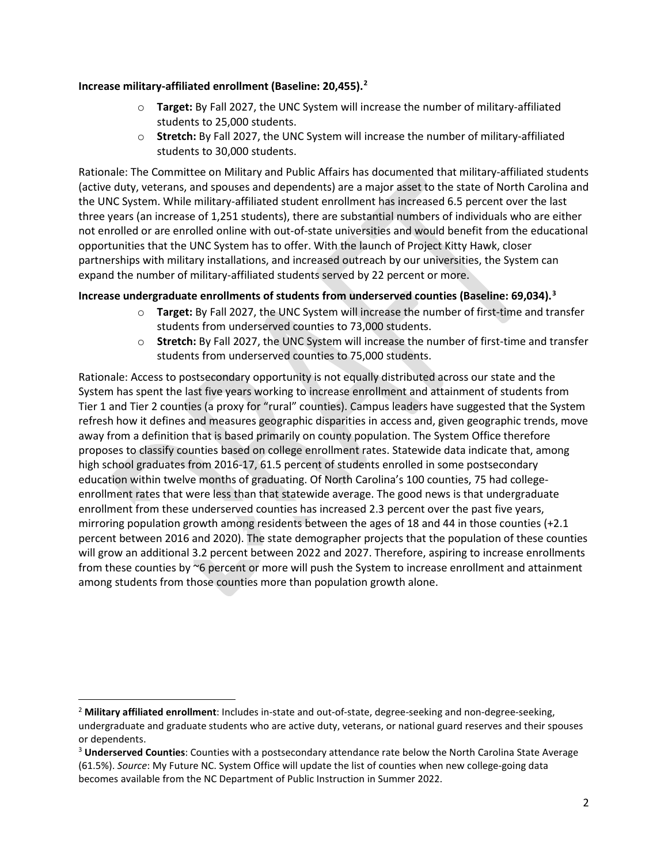### **Increase military-affiliated enrollment (Baseline: 20,455). [2](#page-4-0)**

- o **Target:** By Fall 2027, the UNC System will increase the number of military-affiliated students to 25,000 students.
- o **Stretch:** By Fall 2027, the UNC System will increase the number of military-affiliated students to 30,000 students.

Rationale: The Committee on Military and Public Affairs has documented that military-affiliated students (active duty, veterans, and spouses and dependents) are a major asset to the state of North Carolina and the UNC System. While military-affiliated student enrollment has increased 6.5 percent over the last three years (an increase of 1,251 students), there are substantial numbers of individuals who are either not enrolled or are enrolled online with out-of-state universities and would benefit from the educational opportunities that the UNC System has to offer. With the launch of Project Kitty Hawk, closer partnerships with military installations, and increased outreach by our universities, the System can expand the number of military-affiliated students served by 22 percent or more.

## **Increase undergraduate enrollments of students from underserved counties (Baseline: 69,034).[3](#page-4-1)**

- o **Target:** By Fall 2027, the UNC System will increase the number of first-time and transfer students from underserved counties to 73,000 students.
- o **Stretch:** By Fall 2027, the UNC System will increase the number of first-time and transfer students from underserved counties to 75,000 students.

Rationale: Access to postsecondary opportunity is not equally distributed across our state and the System has spent the last five years working to increase enrollment and attainment of students from Tier 1 and Tier 2 counties (a proxy for "rural" counties). Campus leaders have suggested that the System refresh how it defines and measures geographic disparities in access and, given geographic trends, move away from a definition that is based primarily on county population. The System Office therefore proposes to classify counties based on college enrollment rates. Statewide data indicate that, among high school graduates from 2016-17, 61.5 percent of students enrolled in some postsecondary education within twelve months of graduating. Of North Carolina's 100 counties, 75 had collegeenrollment rates that were less than that statewide average. The good news is that undergraduate enrollment from these underserved counties has increased 2.3 percent over the past five years, mirroring population growth among residents between the ages of 18 and 44 in those counties (+2.1 percent between 2016 and 2020). The state demographer projects that the population of these counties will grow an additional 3.2 percent between 2022 and 2027. Therefore, aspiring to increase enrollments from these counties by ~6 percent or more will push the System to increase enrollment and attainment among students from those counties more than population growth alone.

<span id="page-4-0"></span><sup>2</sup> **Military affiliated enrollment**: Includes in-state and out-of-state, degree-seeking and non-degree-seeking, undergraduate and graduate students who are active duty, veterans, or national guard reserves and their spouses

<span id="page-4-1"></span>or dependents.<br><sup>3</sup> **Underserved Counties**: Counties with a postsecondary attendance rate below the North Carolina State Average (61.5%). *Source*: My Future NC. System Office will update the list of counties when new college-going data becomes available from the NC Department of Public Instruction in Summer 2022.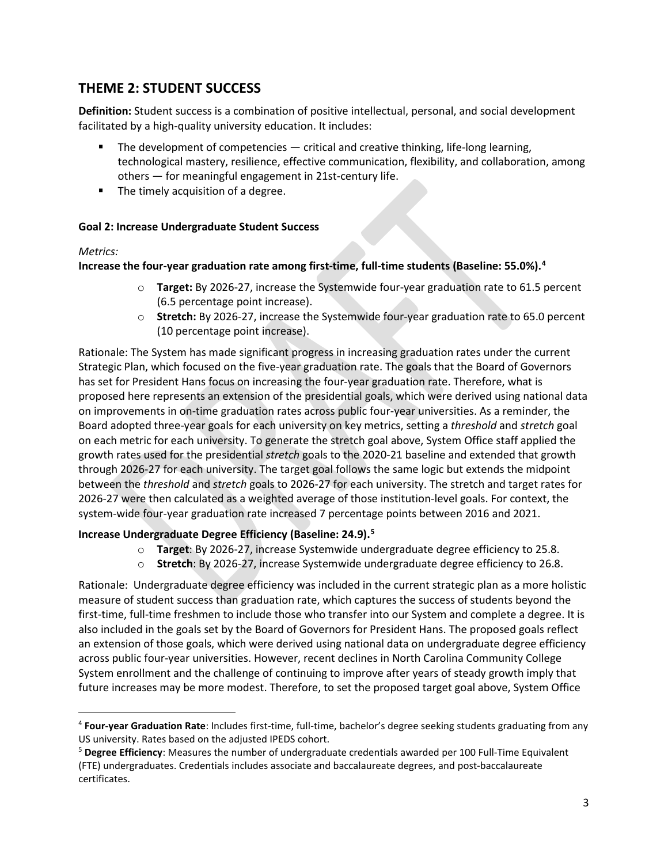# **THEME 2: STUDENT SUCCESS**

**Definition:** Student success is a combination of positive intellectual, personal, and social development facilitated by a high-quality university education. It includes:

- **The development of competencies critical and creative thinking, life-long learning,** technological mastery, resilience, effective communication, flexibility, and collaboration, among others — for meaningful engagement in 21st-century life.
- **The timely acquisition of a degree.**

### **Goal 2: Increase Undergraduate Student Success**

### *Metrics:*

**Increase the four-year graduation rate among first-time, full-time students (Baseline: 55.0%). [4](#page-5-0)**

- o **Target:** By 2026-27, increase the Systemwide four-year graduation rate to 61.5 percent (6.5 percentage point increase).
- o **Stretch:** By 2026-27, increase the Systemwide four-year graduation rate to 65.0 percent (10 percentage point increase).

Rationale: The System has made significant progress in increasing graduation rates under the current Strategic Plan, which focused on the five-year graduation rate. The goals that the Board of Governors has set for President Hans focus on increasing the four-year graduation rate. Therefore, what is proposed here represents an extension of the presidential goals, which were derived using national data on improvements in on-time graduation rates across public four-year universities. As a reminder, the Board adopted three-year goals for each university on key metrics, setting a *threshold* and *stretch* goal on each metric for each university. To generate the stretch goal above, System Office staff applied the growth rates used for the presidential *stretch* goals to the 2020-21 baseline and extended that growth through 2026-27 for each university. The target goal follows the same logic but extends the midpoint between the *threshold* and *stretch* goals to 2026-27 for each university. The stretch and target rates for 2026-27 were then calculated as a weighted average of those institution-level goals. For context, the system-wide four-year graduation rate increased 7 percentage points between 2016 and 2021.

## **Increase Undergraduate Degree Efficiency (Baseline: 24.9).[5](#page-5-1)**

- o **Target**: By 2026-27, increase Systemwide undergraduate degree efficiency to 25.8.
- o **Stretch**: By 2026-27, increase Systemwide undergraduate degree efficiency to 26.8.

Rationale: Undergraduate degree efficiency was included in the current strategic plan as a more holistic measure of student success than graduation rate, which captures the success of students beyond the first-time, full-time freshmen to include those who transfer into our System and complete a degree. It is also included in the goals set by the Board of Governors for President Hans. The proposed goals reflect an extension of those goals, which were derived using national data on undergraduate degree efficiency across public four-year universities. However, recent declines in North Carolina Community College System enrollment and the challenge of continuing to improve after years of steady growth imply that future increases may be more modest. Therefore, to set the proposed target goal above, System Office

<span id="page-5-0"></span><sup>4</sup> **Four-year Graduation Rate**: Includes first-time, full-time, bachelor's degree seeking students graduating from any US university. Rates based on the adjusted IPEDS cohort.

<span id="page-5-1"></span><sup>5</sup> **Degree Efficiency**: Measures the number of undergraduate credentials awarded per 100 Full-Time Equivalent (FTE) undergraduates. Credentials includes associate and baccalaureate degrees, and post-baccalaureate certificates.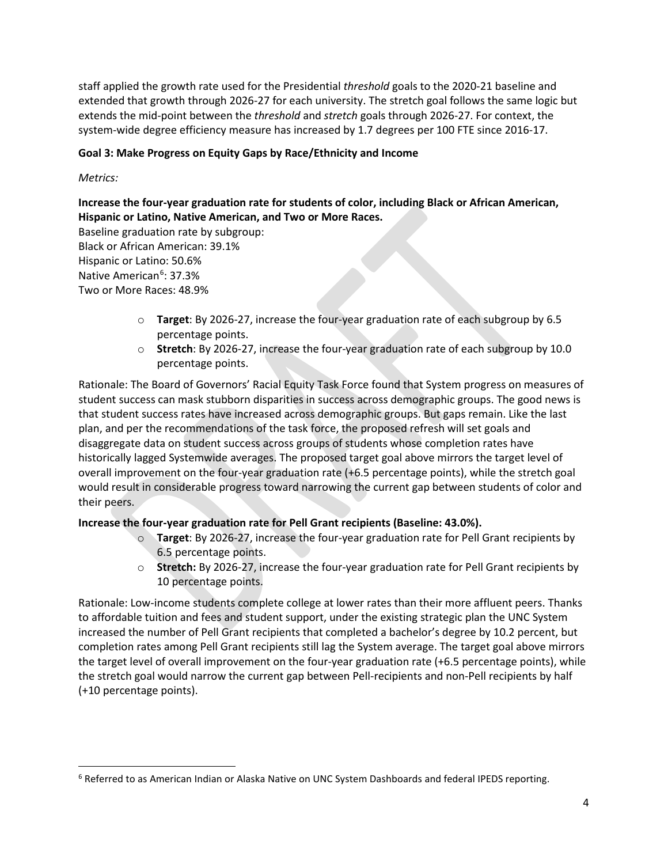staff applied the growth rate used for the Presidential *threshold* goals to the 2020-21 baseline and extended that growth through 2026-27 for each university. The stretch goal follows the same logic but extends the mid-point between the *threshold* and *stretch* goals through 2026-27. For context, the system-wide degree efficiency measure has increased by 1.7 degrees per 100 FTE since 2016-17.

## **Goal 3: Make Progress on Equity Gaps by Race/Ethnicity and Income**

*Metrics:*

# **Increase the four-year graduation rate for students of color, including Black or African American, Hispanic or Latino, Native American, and Two or More Races.**

Baseline graduation rate by subgroup: Black or African American: 39.1% Hispanic or Latino: 50.6% Native American<sup>[6](#page-6-0)</sup>: 37.3% Two or More Races: 48.9%

- o **Target**: By 2026-27, increase the four-year graduation rate of each subgroup by 6.5 percentage points.
- o **Stretch**: By 2026-27, increase the four-year graduation rate of each subgroup by 10.0 percentage points.

Rationale: The Board of Governors' Racial Equity Task Force found that System progress on measures of student success can mask stubborn disparities in success across demographic groups. The good news is that student success rates have increased across demographic groups. But gaps remain. Like the last plan, and per the recommendations of the task force, the proposed refresh will set goals and disaggregate data on student success across groups of students whose completion rates have historically lagged Systemwide averages. The proposed target goal above mirrors the target level of overall improvement on the four-year graduation rate (+6.5 percentage points), while the stretch goal would result in considerable progress toward narrowing the current gap between students of color and their peers.

## **Increase the four-year graduation rate for Pell Grant recipients (Baseline: 43.0%).**

- o **Target**: By 2026-27, increase the four-year graduation rate for Pell Grant recipients by 6.5 percentage points.
- o **Stretch:** By 2026-27, increase the four-year graduation rate for Pell Grant recipients by 10 percentage points.

Rationale: Low-income students complete college at lower rates than their more affluent peers. Thanks to affordable tuition and fees and student support, under the existing strategic plan the UNC System increased the number of Pell Grant recipients that completed a bachelor's degree by 10.2 percent, but completion rates among Pell Grant recipients still lag the System average. The target goal above mirrors the target level of overall improvement on the four-year graduation rate (+6.5 percentage points), while the stretch goal would narrow the current gap between Pell-recipients and non-Pell recipients by half (+10 percentage points).

<span id="page-6-0"></span><sup>&</sup>lt;sup>6</sup> Referred to as American Indian or Alaska Native on UNC System Dashboards and federal IPEDS reporting.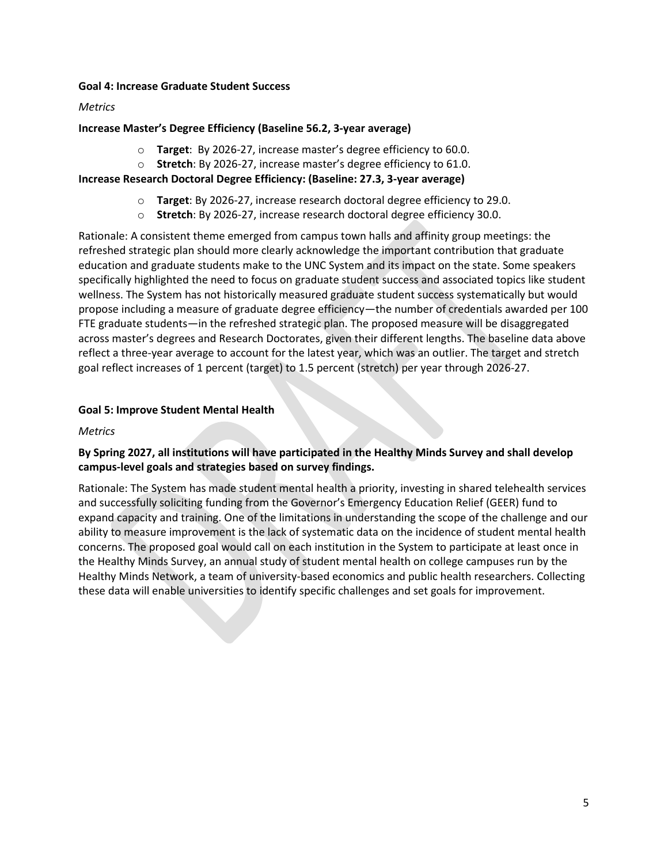#### **Goal 4: Increase Graduate Student Success**

#### *Metrics*

#### **Increase Master's Degree Efficiency (Baseline 56.2, 3-year average)**

- o **Target**: By 2026-27, increase master's degree efficiency to 60.0.
- o **Stretch**: By 2026-27, increase master's degree efficiency to 61.0.

#### **Increase Research Doctoral Degree Efficiency: (Baseline: 27.3, 3-year average)**

- o **Target**: By 2026-27, increase research doctoral degree efficiency to 29.0.
- o **Stretch**: By 2026-27, increase research doctoral degree efficiency 30.0.

Rationale: A consistent theme emerged from campus town halls and affinity group meetings: the refreshed strategic plan should more clearly acknowledge the important contribution that graduate education and graduate students make to the UNC System and its impact on the state. Some speakers specifically highlighted the need to focus on graduate student success and associated topics like student wellness. The System has not historically measured graduate student success systematically but would propose including a measure of graduate degree efficiency—the number of credentials awarded per 100 FTE graduate students—in the refreshed strategic plan. The proposed measure will be disaggregated across master's degrees and Research Doctorates, given their different lengths. The baseline data above reflect a three-year average to account for the latest year, which was an outlier. The target and stretch goal reflect increases of 1 percent (target) to 1.5 percent (stretch) per year through 2026-27.

### **Goal 5: Improve Student Mental Health**

#### *Metrics*

## **By Spring 2027, all institutions will have participated in the Healthy Minds Survey and shall develop campus-level goals and strategies based on survey findings.**

Rationale: The System has made student mental health a priority, investing in shared telehealth services and successfully soliciting funding from the Governor's Emergency Education Relief (GEER) fund to expand capacity and training. One of the limitations in understanding the scope of the challenge and our ability to measure improvement is the lack of systematic data on the incidence of student mental health concerns. The proposed goal would call on each institution in the System to participate at least once in the Healthy Minds Survey, an annual study of student mental health on college campuses run by the Healthy Minds Network, a team of university-based economics and public health researchers. Collecting these data will enable universities to identify specific challenges and set goals for improvement.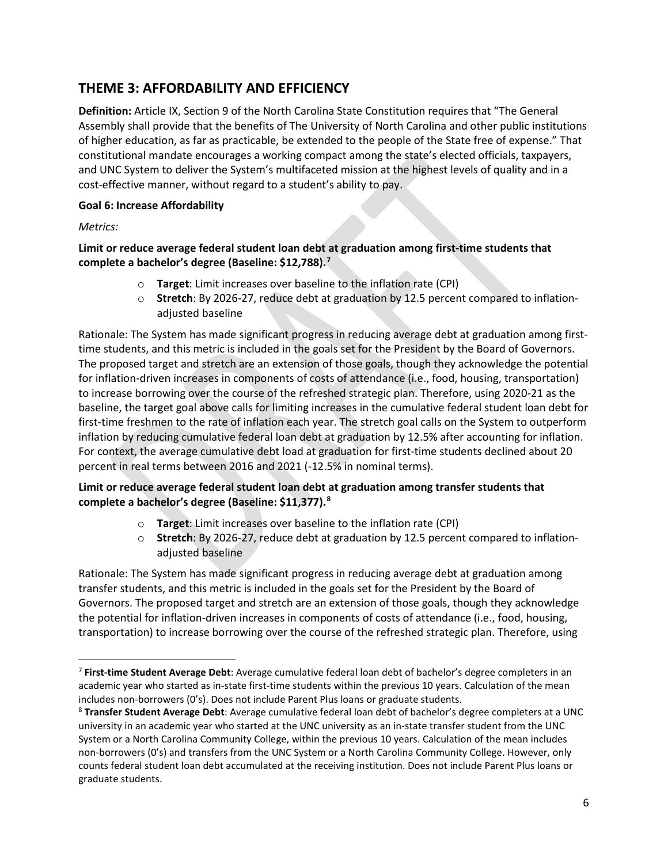# **THEME 3: AFFORDABILITY AND EFFICIENCY**

**Definition:** Article IX, Section 9 of the North Carolina State Constitution requires that "The General Assembly shall provide that the benefits of The University of North Carolina and other public institutions of higher education, as far as practicable, be extended to the people of the State free of expense." That constitutional mandate encourages a working compact among the state's elected officials, taxpayers, and UNC System to deliver the System's multifaceted mission at the highest levels of quality and in a cost-effective manner, without regard to a student's ability to pay.

## **Goal 6: Increase Affordability**

*Metrics:*

## **Limit or reduce average federal student loan debt at graduation among first-time students that complete a bachelor's degree (Baseline: \$12,788). [7](#page-8-0)**

- o **Target**: Limit increases over baseline to the inflation rate (CPI)
- o **Stretch**: By 2026-27, reduce debt at graduation by 12.5 percent compared to inflationadjusted baseline

Rationale: The System has made significant progress in reducing average debt at graduation among firsttime students, and this metric is included in the goals set for the President by the Board of Governors. The proposed target and stretch are an extension of those goals, though they acknowledge the potential for inflation-driven increases in components of costs of attendance (i.e., food, housing, transportation) to increase borrowing over the course of the refreshed strategic plan. Therefore, using 2020-21 as the baseline, the target goal above calls for limiting increases in the cumulative federal student loan debt for first-time freshmen to the rate of inflation each year. The stretch goal calls on the System to outperform inflation by reducing cumulative federal loan debt at graduation by 12.5% after accounting for inflation. For context, the average cumulative debt load at graduation for first-time students declined about 20 percent in real terms between 2016 and 2021 (-12.5% in nominal terms).

# **Limit or reduce average federal student loan debt at graduation among transfer students that complete a bachelor's degree (Baseline: \$11,377). [8](#page-8-1)**

- o **Target**: Limit increases over baseline to the inflation rate (CPI)
- o **Stretch**: By 2026-27, reduce debt at graduation by 12.5 percent compared to inflationadjusted baseline

Rationale: The System has made significant progress in reducing average debt at graduation among transfer students, and this metric is included in the goals set for the President by the Board of Governors. The proposed target and stretch are an extension of those goals, though they acknowledge the potential for inflation-driven increases in components of costs of attendance (i.e., food, housing, transportation) to increase borrowing over the course of the refreshed strategic plan. Therefore, using

<span id="page-8-0"></span><sup>7</sup> **First-time Student Average Debt**: Average cumulative federal loan debt of bachelor's degree completers in an academic year who started as in-state first-time students within the previous 10 years. Calculation of the mean includes non-borrowers (0's). Does not include Parent Plus loans or graduate students.

<span id="page-8-1"></span><sup>8</sup> **Transfer Student Average Debt**: Average cumulative federal loan debt of bachelor's degree completers at a UNC university in an academic year who started at the UNC university as an in-state transfer student from the UNC System or a North Carolina Community College, within the previous 10 years. Calculation of the mean includes non-borrowers (0's) and transfers from the UNC System or a North Carolina Community College. However, only counts federal student loan debt accumulated at the receiving institution. Does not include Parent Plus loans or graduate students.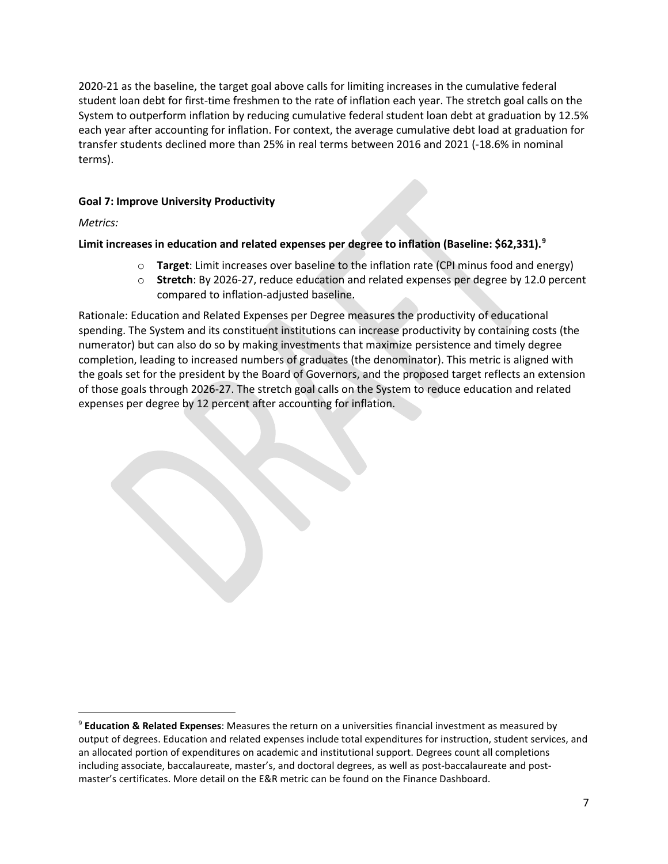2020-21 as the baseline, the target goal above calls for limiting increases in the cumulative federal student loan debt for first-time freshmen to the rate of inflation each year. The stretch goal calls on the System to outperform inflation by reducing cumulative federal student loan debt at graduation by 12.5% each year after accounting for inflation. For context, the average cumulative debt load at graduation for transfer students declined more than 25% in real terms between 2016 and 2021 (-18.6% in nominal terms).

# **Goal 7: Improve University Productivity**

*Metrics:*

# **Limit increases in education and related expenses per degree to inflation (Baseline: \$62,331). [9](#page-9-0)**

- o **Target**: Limit increases over baseline to the inflation rate (CPI minus food and energy)
- o **Stretch**: By 2026-27, reduce education and related expenses per degree by 12.0 percent compared to inflation-adjusted baseline.

Rationale: Education and Related Expenses per Degree measures the productivity of educational spending. The System and its constituent institutions can increase productivity by containing costs (the numerator) but can also do so by making investments that maximize persistence and timely degree completion, leading to increased numbers of graduates (the denominator). This metric is aligned with the goals set for the president by the Board of Governors, and the proposed target reflects an extension of those goals through 2026-27. The stretch goal calls on the System to reduce education and related expenses per degree by 12 percent after accounting for inflation.

<span id="page-9-0"></span><sup>9</sup> **Education & Related Expenses**: Measures the return on a universities financial investment as measured by output of degrees. Education and related expenses include total expenditures for instruction, student services, and an allocated portion of expenditures on academic and institutional support. Degrees count all completions including associate, baccalaureate, master's, and doctoral degrees, as well as post-baccalaureate and postmaster's certificates. More detail on the E&R metric can be found on the Finance Dashboard.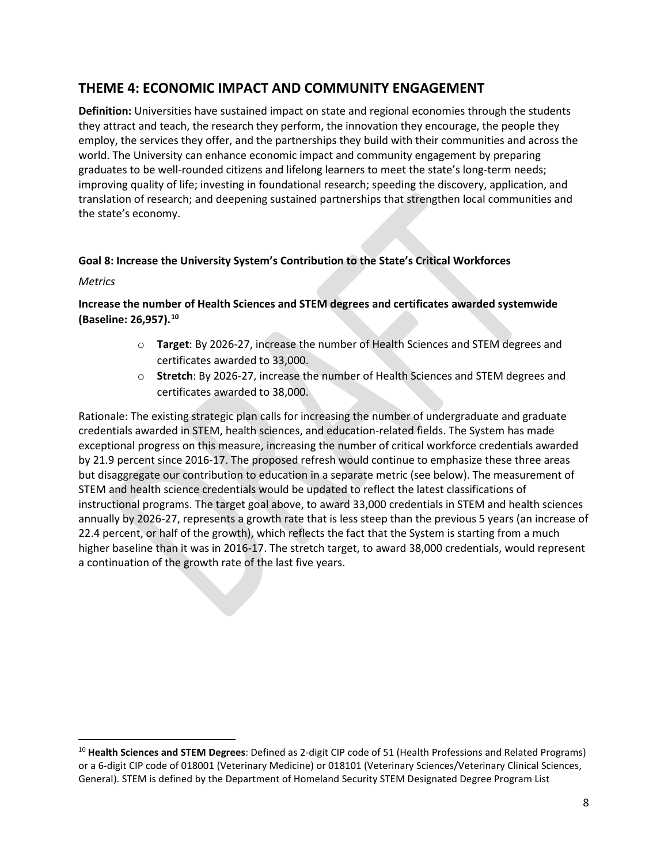# **THEME 4: ECONOMIC IMPACT AND COMMUNITY ENGAGEMENT**

**Definition:** Universities have sustained impact on state and regional economies through the students they attract and teach, the research they perform, the innovation they encourage, the people they employ, the services they offer, and the partnerships they build with their communities and across the world. The University can enhance economic impact and community engagement by preparing graduates to be well-rounded citizens and lifelong learners to meet the state's long-term needs; improving quality of life; investing in foundational research; speeding the discovery, application, and translation of research; and deepening sustained partnerships that strengthen local communities and the state's economy.

### **Goal 8: Increase the University System's Contribution to the State's Critical Workforces**

#### *Metrics*

# **Increase the number of Health Sciences and STEM degrees and certificates awarded systemwide (Baseline: 26,957). [10](#page-10-0)**

- o **Target**: By 2026-27, increase the number of Health Sciences and STEM degrees and certificates awarded to 33,000.
- o **Stretch**: By 2026-27, increase the number of Health Sciences and STEM degrees and certificates awarded to 38,000.

Rationale: The existing strategic plan calls for increasing the number of undergraduate and graduate credentials awarded in STEM, health sciences, and education-related fields. The System has made exceptional progress on this measure, increasing the number of critical workforce credentials awarded by 21.9 percent since 2016-17. The proposed refresh would continue to emphasize these three areas but disaggregate our contribution to education in a separate metric (see below). The measurement of STEM and health science credentials would be updated to reflect the latest classifications of instructional programs. The target goal above, to award 33,000 credentials in STEM and health sciences annually by 2026-27, represents a growth rate that is less steep than the previous 5 years (an increase of 22.4 percent, or half of the growth), which reflects the fact that the System is starting from a much higher baseline than it was in 2016-17. The stretch target, to award 38,000 credentials, would represent a continuation of the growth rate of the last five years.

<span id="page-10-0"></span><sup>10</sup> **Health Sciences and STEM Degrees**: Defined as 2-digit CIP code of 51 (Health Professions and Related Programs) or a 6-digit CIP code of 018001 (Veterinary Medicine) or 018101 (Veterinary Sciences/Veterinary Clinical Sciences, General). STEM is defined by the Department of Homeland Security STEM Designated Degree Program List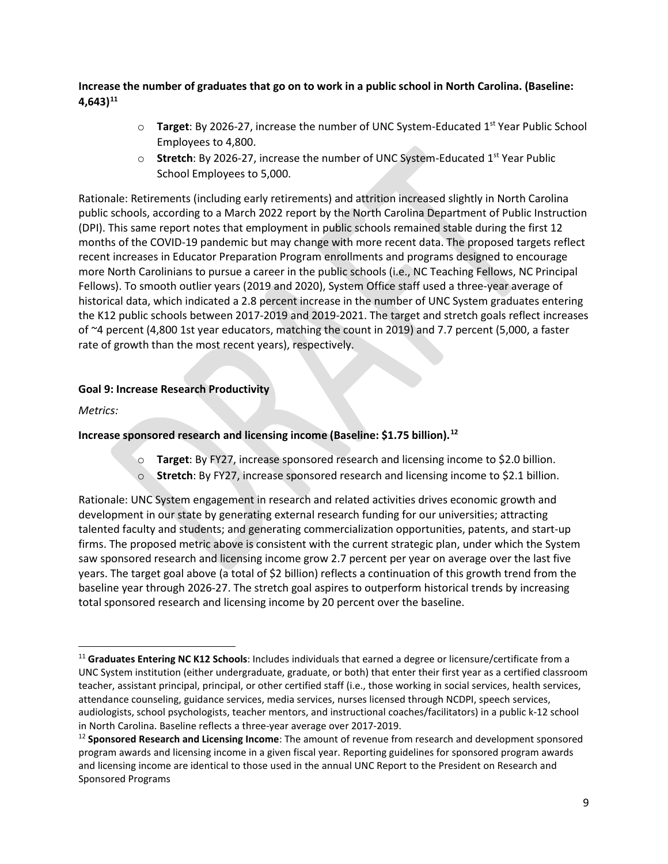# **Increase the number of graduates that go on to work in a public school in North Carolina. (Baseline: 4,643) [11](#page-11-0)**

- o **Target**: By 2026-27, increase the number of UNC System-Educated 1st Year Public School Employees to 4,800.
- o **Stretch**: By 2026-27, increase the number of UNC System-Educated 1st Year Public School Employees to 5,000.

Rationale: Retirements (including early retirements) and attrition increased slightly in North Carolina public schools, according to a March 2022 report by the North Carolina Department of Public Instruction (DPI). This same report notes that employment in public schools remained stable during the first 12 months of the COVID-19 pandemic but may change with more recent data. The proposed targets reflect recent increases in Educator Preparation Program enrollments and programs designed to encourage more North Carolinians to pursue a career in the public schools (i.e., NC Teaching Fellows, NC Principal Fellows). To smooth outlier years (2019 and 2020), System Office staff used a three-year average of historical data, which indicated a 2.8 percent increase in the number of UNC System graduates entering the K12 public schools between 2017-2019 and 2019-2021. The target and stretch goals reflect increases of ~4 percent (4,800 1st year educators, matching the count in 2019) and 7.7 percent (5,000, a faster rate of growth than the most recent years), respectively.

### **Goal 9: Increase Research Productivity**

*Metrics:*

## **Increase sponsored research and licensing income (Baseline: \$1.75 billion). [12](#page-11-1)**

- o **Target**: By FY27, increase sponsored research and licensing income to \$2.0 billion.
- o **Stretch**: By FY27, increase sponsored research and licensing income to \$2.1 billion.

Rationale: UNC System engagement in research and related activities drives economic growth and development in our state by generating external research funding for our universities; attracting talented faculty and students; and generating commercialization opportunities, patents, and start-up firms. The proposed metric above is consistent with the current strategic plan, under which the System saw sponsored research and licensing income grow 2.7 percent per year on average over the last five years. The target goal above (a total of \$2 billion) reflects a continuation of this growth trend from the baseline year through 2026-27. The stretch goal aspires to outperform historical trends by increasing total sponsored research and licensing income by 20 percent over the baseline.

<span id="page-11-0"></span><sup>11</sup> **Graduates Entering NC K12 Schools**: Includes individuals that earned a degree or licensure/certificate from a UNC System institution (either undergraduate, graduate, or both) that enter their first year as a certified classroom teacher, assistant principal, principal, or other certified staff (i.e., those working in social services, health services, attendance counseling, guidance services, media services, nurses licensed through NCDPI, speech services, audiologists, school psychologists, teacher mentors, and instructional coaches/facilitators) in a public k-12 school in North Carolina. Baseline reflects a three-year average over 2017-2019.<br><sup>12</sup> Sponsored Research and Licensing Income: The amount of revenue from research and development sponsored

<span id="page-11-1"></span>program awards and licensing income in a given fiscal year. Reporting guidelines for sponsored program awards and licensing income are identical to those used in the annual UNC Report to the President on Research and Sponsored Programs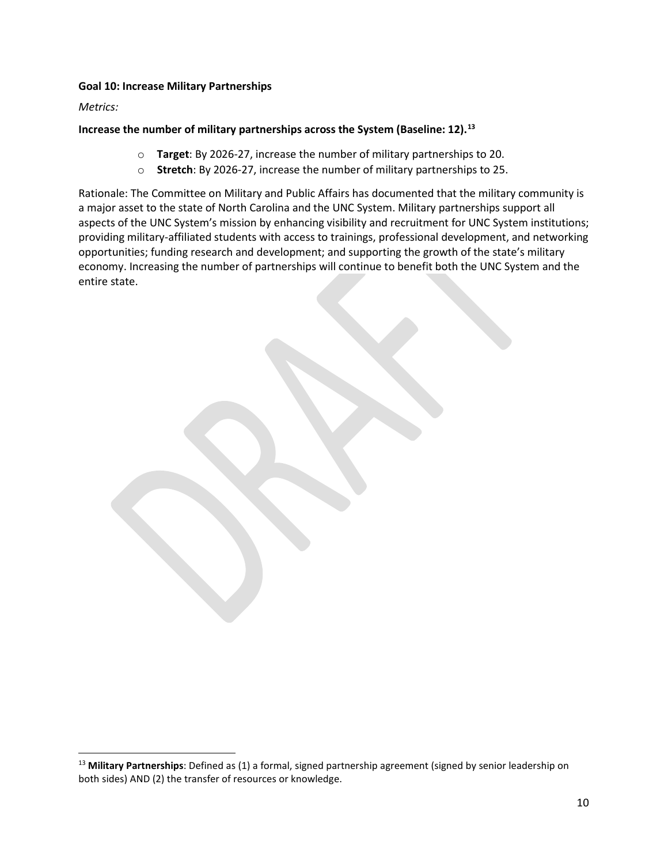#### **Goal 10: Increase Military Partnerships**

*Metrics:*

## **Increase the number of military partnerships across the System (Baseline: 12). [13](#page-12-0)**

- o **Target**: By 2026-27, increase the number of military partnerships to 20.
- o **Stretch**: By 2026-27, increase the number of military partnerships to 25.

Rationale: The Committee on Military and Public Affairs has documented that the military community is a major asset to the state of North Carolina and the UNC System. Military partnerships support all aspects of the UNC System's mission by enhancing visibility and recruitment for UNC System institutions; providing military-affiliated students with access to trainings, professional development, and networking opportunities; funding research and development; and supporting the growth of the state's military economy. Increasing the number of partnerships will continue to benefit both the UNC System and the entire state.

<span id="page-12-0"></span><sup>13</sup> **Military Partnerships**: Defined as (1) a formal, signed partnership agreement (signed by senior leadership on both sides) AND (2) the transfer of resources or knowledge.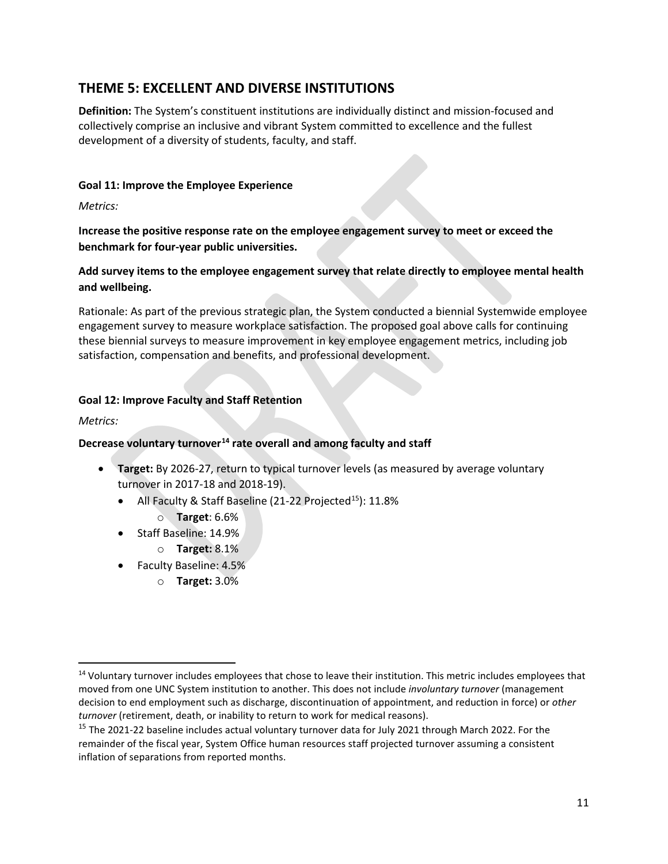# **THEME 5: EXCELLENT AND DIVERSE INSTITUTIONS**

**Definition:** The System's constituent institutions are individually distinct and mission-focused and collectively comprise an inclusive and vibrant System committed to excellence and the fullest development of a diversity of students, faculty, and staff.

## **Goal 11: Improve the Employee Experience**

*Metrics:*

**Increase the positive response rate on the employee engagement survey to meet or exceed the benchmark for four-year public universities.**

**Add survey items to the employee engagement survey that relate directly to employee mental health and wellbeing.**

Rationale: As part of the previous strategic plan, the System conducted a biennial Systemwide employee engagement survey to measure workplace satisfaction. The proposed goal above calls for continuing these biennial surveys to measure improvement in key employee engagement metrics, including job satisfaction, compensation and benefits, and professional development.

### **Goal 12: Improve Faculty and Staff Retention**

*Metrics:*

## **Decrease voluntary turnover[14](#page-13-0) rate overall and among faculty and staff**

- **Target:** By 2026-27, return to typical turnover levels (as measured by average voluntary turnover in 2017-18 and 2018-19).
	- All Faculty & Staff Baseline (21-22 Projected<sup>15</sup>):  $11.8\%$ 
		- o **Target**: 6.6%
	- Staff Baseline: 14.9%
		- o **Target:** 8.1%
	- Faculty Baseline: 4.5%
		- o **Target:** 3.0%

<span id="page-13-0"></span><sup>&</sup>lt;sup>14</sup> Voluntary turnover includes employees that chose to leave their institution. This metric includes employees that moved from one UNC System institution to another. This does not include *involuntary turnover* (management decision to end employment such as discharge, discontinuation of appointment, and reduction in force) or *other turnover* (retirement, death, or inability to return to work for medical reasons).<br><sup>15</sup> The 2021-22 baseline includes actual voluntary turnover data for July 2021 through March 2022. For the

<span id="page-13-1"></span>remainder of the fiscal year, System Office human resources staff projected turnover assuming a consistent inflation of separations from reported months.